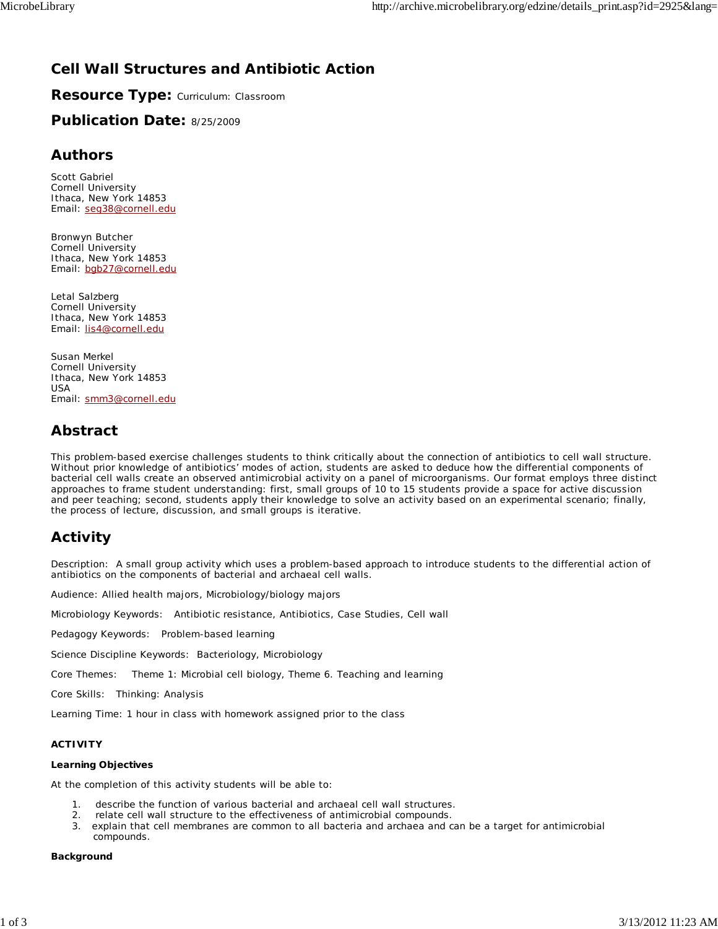## **Cell Wall Structures and Antibiotic Action**

**Resource Type:** Curriculum: Classroom

**Publication Date:** 8/25/2009

#### **Authors**

*Scott Gabriel* Cornell University Ithaca, New York 14853 Email: seg38@cornell.edu

*Bronwyn Butcher* Cornell University Ithaca, New York 14853 Email: bgb27@cornell.edu

*Letal Salzberg* Cornell University Ithaca, New York 14853 Email: lis4@cornell.edu

*Susan Merkel* Cornell University Ithaca, New York 14853 USA Email: smm3@cornell.edu

## **Abstract**

This problem-based exercise challenges students to think critically about the connection of antibiotics to cell wall structure. Without prior knowledge of antibiotics' modes of action, students are asked to deduce how the differential components of bacterial cell walls create an observed antimicrobial activity on a panel of microorganisms. Our format employs three distinct approaches to frame student understanding: first, small groups of 10 to 15 students provide a space for active discussion and peer teaching; second, students apply their knowledge to solve an activity based on an experimental scenario; finally, the process of lecture, discussion, and small groups is iterative.

## **Activity**

Description: A small group activity which uses a problem-based approach to introduce students to the differential action of antibiotics on the components of bacterial and archaeal cell walls.

Audience: Allied health majors, Microbiology/biology majors

Microbiology Keywords: Antibiotic resistance, Antibiotics, Case Studies, Cell wall

Pedagogy Keywords: Problem-based learning

Science Discipline Keywords: Bacteriology, Microbiology

Core Themes: Theme 1: Microbial cell biology, Theme 6. Teaching and learning

Core Skills: Thinking: Analysis

Learning Time: 1 hour in class with homework assigned prior to the class

#### **ACTIVITY**

#### **Learning Objectives**

At the completion of this activity students will be able to:

- describe the function of various bacterial and archaeal cell wall structures.
- 2. relate cell wall structure to the effectiveness of antimicrobial compounds.
- 3. explain that cell membranes are common to all bacteria and archaea and can be a target for antimicrobial compounds.

#### **Background**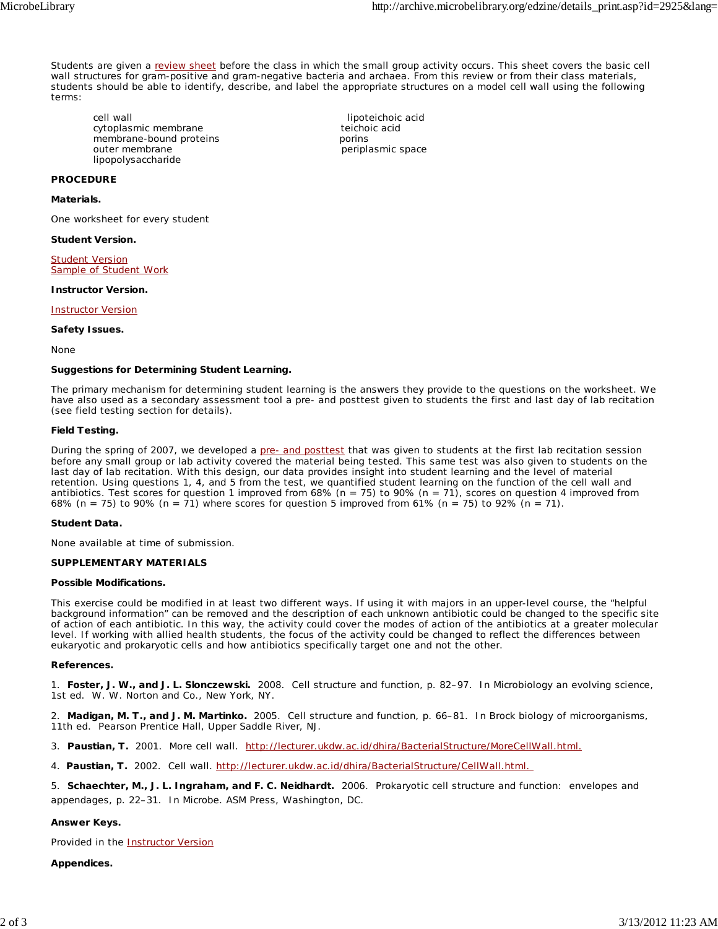Students are given a review sheet before the class in which the small group activity occurs. This sheet covers the basic cell wall structures for gram-positive and gram-negative bacteria and archaea. From this review or from their class materials, students should be able to identify, describe, and label the appropriate structures on a model cell wall using the following terms:

periplasmic space

cell wall<br>
cytoplasmic membrane<br>
cytoplasmic membrane<br>
cytoplasmic membrane<br>
cytoplasmic membrane cytoplasmic membrane<br>
membrane-bound proteins<br>
porins membrane-bound proteins<br>outer membrane lipopolysaccharide

#### **PROCEDURE**

**Materials.**

One worksheet for every student

#### **Student Version.**

Student Version Sample of Student Work

#### **Instructor Version.**

Instructor Version

#### **Safety Issues.**

None

#### **Suggestions for Determining Student Learning.**

The primary mechanism for determining student learning is the answers they provide to the questions on the worksheet. We have also used as a secondary assessment tool a pre- and posttest given to students the first and last day of lab recitation (see field testing section for details).

#### **Field Testing.**

During the spring of 2007, we developed a pre- and posttest that was given to students at the first lab recitation session before any small group or lab activity covered the material being tested. This same test was also given to students on the last day of lab recitation. With this design, our data provides insight into student learning and the level of material retention. Using questions 1, 4, and 5 from the test, we quantified student learning on the function of the cell wall and antibiotics. Test scores for question 1 improved from 68% (*n* = 75) to 90% (*n* = 71), scores on question 4 improved from 68% (*n* = 75) to 90% (*n* = 71) where scores for question 5 improved from 61% (*n* = 75) to 92% (*n* = 71).

#### **Student Data.**

None available at time of submission.

#### **SUPPLEMENTARY MATERIALS**

#### **Possible Modifications.**

This exercise could be modified in at least two different ways. If using it with majors in an upper-level course, the "helpful background information" can be removed and the description of each unknown antibiotic could be changed to the specific site of action of each antibiotic. In this way, the activity could cover the modes of action of the antibiotics at a greater molecular level. If working with allied health students, the focus of the activity could be changed to reflect the differences between eukaryotic and prokaryotic cells and how antibiotics specifically target one and not the other.

#### **References.**

1. **Foster, J. W., and J. L. Slonczewski.** 2008. Cell structure and function, p. 82–97. *In* Microbiology an evolving science, 1st ed. W. W. Norton and Co., New York, NY.

2. **Madigan, M. T., and J. M. Martinko.** 2005. Cell structure and function, p. 66–81. *In* Brock biology of microorganisms, 11th ed. Pearson Prentice Hall, Upper Saddle River, NJ.

3. **Paustian, T.** 2001. More cell wall. http://lecturer.ukdw.ac.id/dhira/BacterialStructure/MoreCellWall.html.

4. **Paustian, T.** 2002. Cell wall. http://lecturer.ukdw.ac.id/dhira/BacterialStructure/CellWall.html.

5. **Schaechter, M., J. L. Ingraham, and F. C. Neidhardt.** 2006. Prokaryotic cell structure and function: envelopes and appendages, p. 22–31. *In* Microbe. ASM Press, Washington, DC.

#### **Answer Keys.**

Provided in the Instructor Version

#### **Appendices.**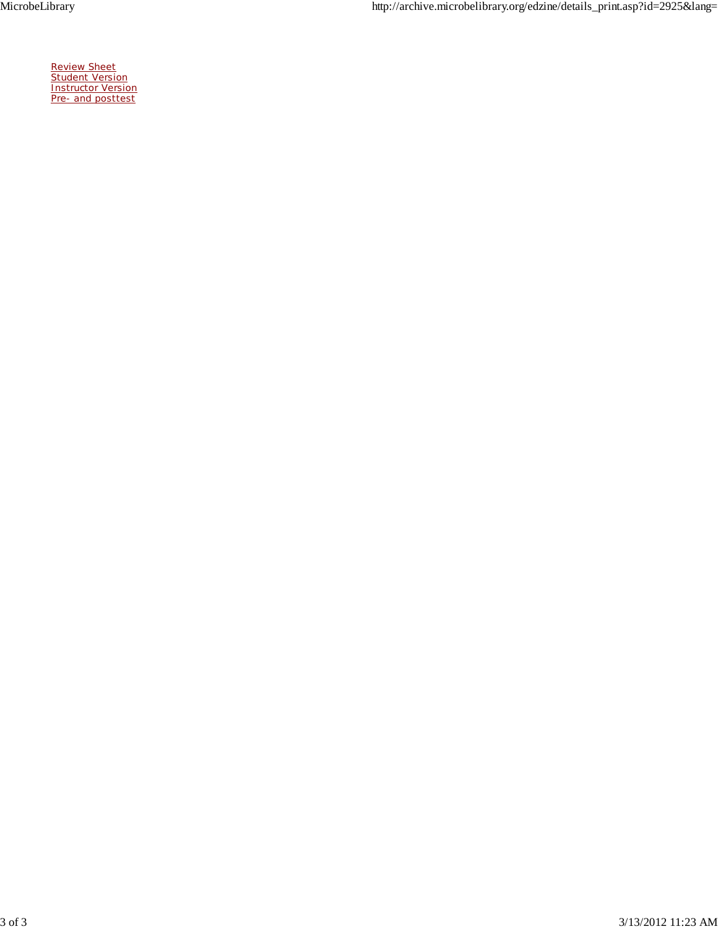MicrobeLibrary http://archive.microbelibrary.org/edzine/details\_print.asp?id=2925&lang=

Review Sheet **Student Version** Instructor Version Pre- and posttest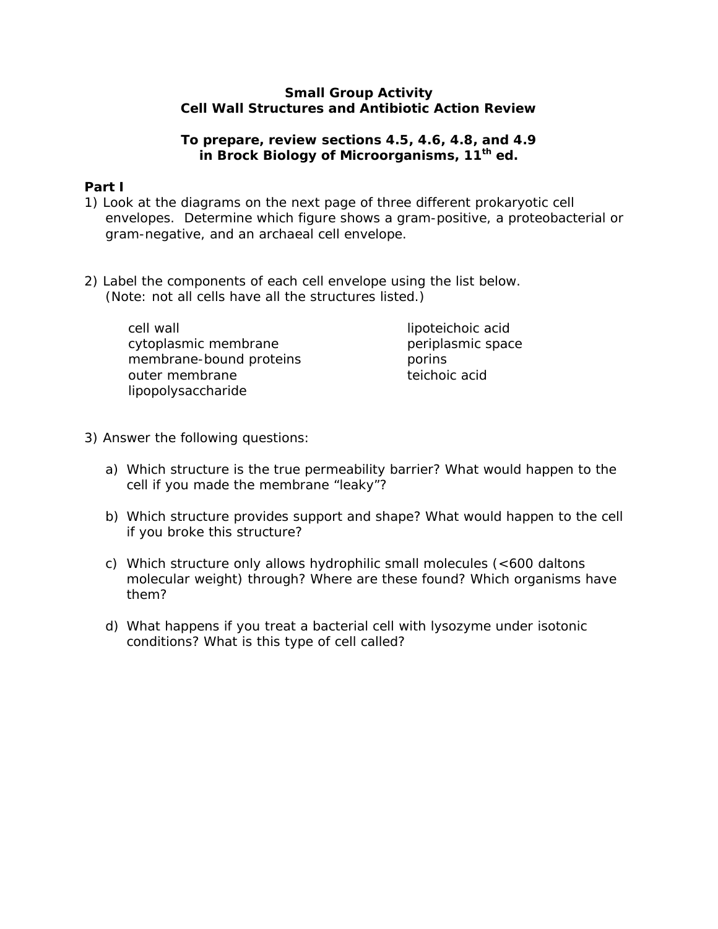#### **Small Group Activity Cell Wall Structures and Antibiotic Action Review**

### **To prepare, review sections 4.5, 4.6, 4.8, and 4.9 in Brock Biology of Microorganisms, 11th ed.**

## **Part I**

- 1) Look at the diagrams on the next page of three different prokaryotic cell envelopes. Determine which figure shows a gram-positive, a proteobacterial or gram-negative, and an archaeal cell envelope.
- 2) Label the components of each cell envelope using the list below. (Note: not all cells have all the structures listed.)

| cell wall               | lipoteichoic acid |
|-------------------------|-------------------|
| cytoplasmic membrane    | periplasmic space |
| membrane-bound proteins | porins            |
| outer membrane          | teichoic acid     |
| lipopolysaccharide      |                   |

- 3) Answer the following questions:
	- a) Which structure is the true permeability barrier? What would happen to the cell if you made the membrane "leaky"?
	- b) Which structure provides support and shape? What would happen to the cell if you broke this structure?
	- c) Which structure only allows hydrophilic small molecules (<600 daltons molecular weight) through? Where are these found? Which organisms have them?
	- d) What happens if you treat a bacterial cell with lysozyme under isotonic conditions? What is this type of cell called?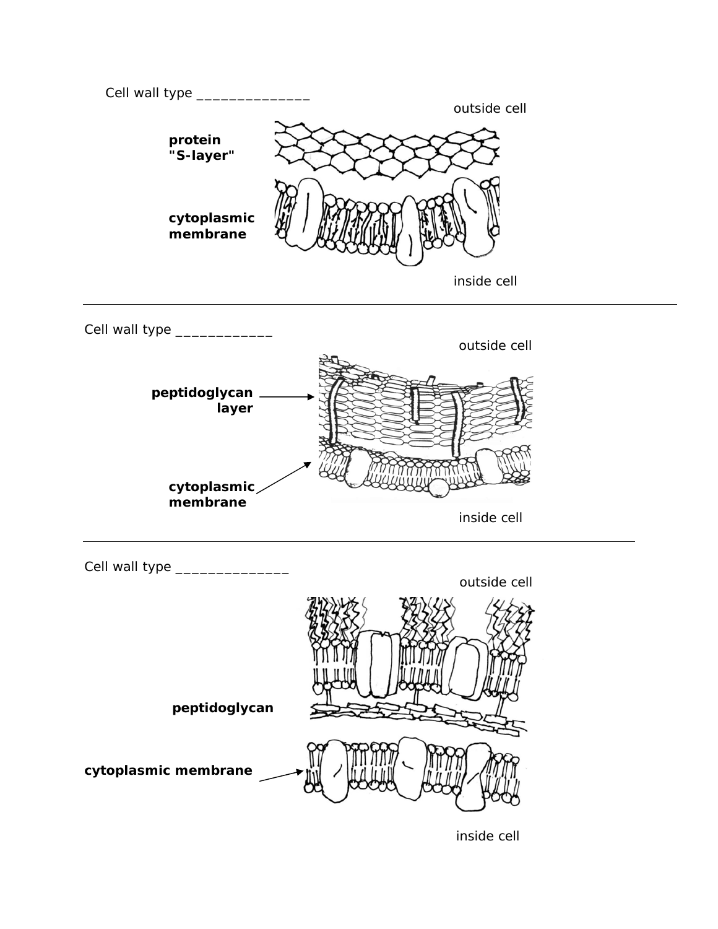

inside cell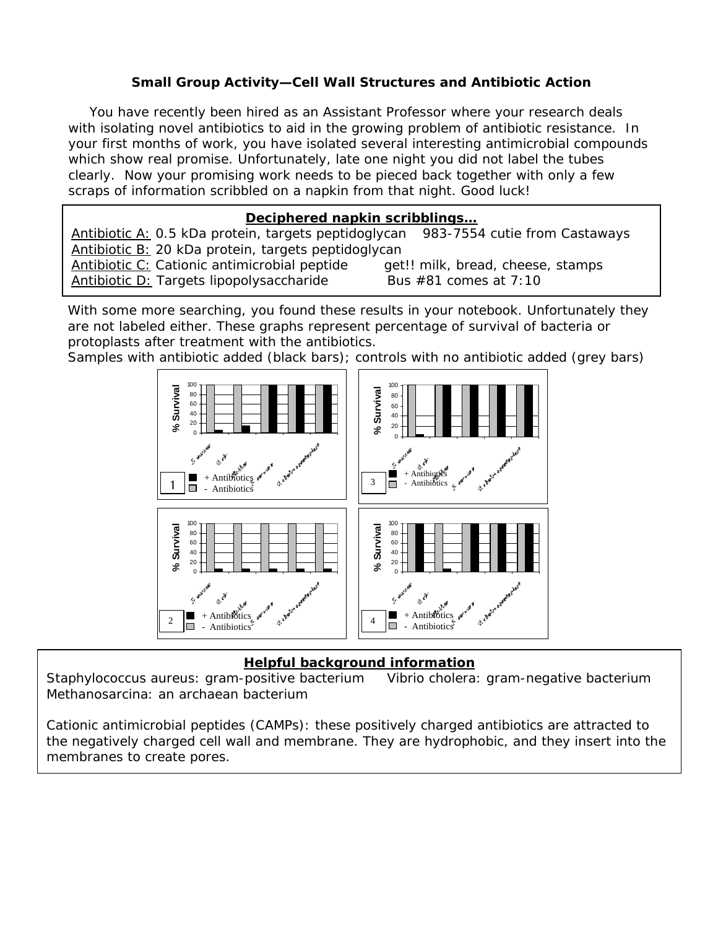## **Small Group Activity—Cell Wall Structures and Antibiotic Action**

You have recently been hired as an Assistant Professor where your research deals with isolating novel antibiotics to aid in the growing problem of antibiotic resistance. In your first months of work, you have isolated several interesting antimicrobial compounds which show real promise. Unfortunately, late one night you did not label the tubes clearly. Now your promising work needs to be pieced back together with only a few scraps of information scribbled on a napkin from that night. Good luck!

## **Deciphered napkin scribblings…**

Antibiotic A: 0.5 kDa protein, targets peptidoglycan *983-7554 cutie from Castaways* Antibiotic B: 20 kDa protein, targets peptidoglycan Antibiotic C: Cationic antimicrobial peptide *get!! milk, bread, cheese, stamps* Antibiotic D: Targets lipopolysaccharide *Bus #81 comes at 7:10* 

With some more searching, you found these results in your notebook. Unfortunately they are not labeled either. These graphs represent percentage of survival of bacteria or protoplasts after treatment with the antibiotics.

Samples with antibiotic added (black bars); controls with no antibiotic added (grey bars)



## **Helpful background information**

*Staphylococcus aureus*: gram-positive bacterium *Vibrio cholera*: gram-negative bacterium *Methanosarcina*: an archaean bacterium

Cationic antimicrobial peptides (CAMPs): these positively charged antibiotics are attracted to the negatively charged cell wall and membrane. They are hydrophobic, and they insert into the membranes to create pores.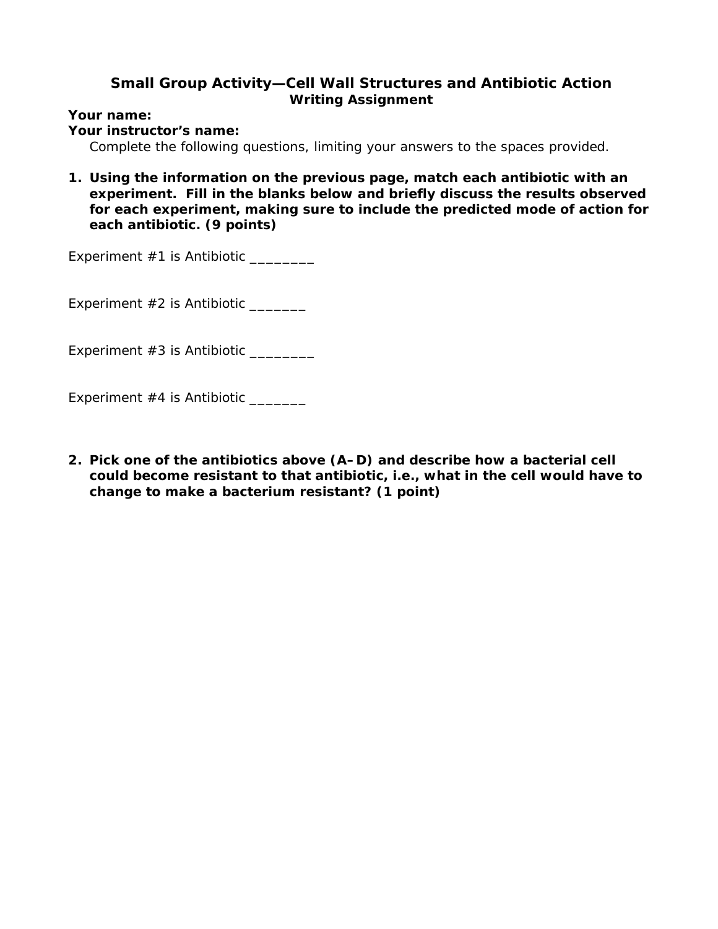## **Small Group Activity—Cell Wall Structures and Antibiotic Action Writing Assignment**

**Your name:** 

**Your instructor's name:** 

*Complete the following questions, limiting your answers to the spaces provided.* 

**1. Using the information on the previous page, match each antibiotic with an experiment. Fill in the blanks below and briefly discuss the results observed for each experiment, making sure to include the predicted mode of action for each antibiotic. (9 points)** 

Experiment #1 is Antibiotic \_\_\_\_\_\_\_\_\_

Experiment #2 is Antibiotic \_\_\_\_\_\_\_

Experiment #3 is Antibiotic \_\_\_\_\_\_\_\_

Experiment #4 is Antibiotic \_\_\_\_\_\_\_

**2. Pick one of the antibiotics above (A–D) and describe how a bacterial cell could become resistant to that antibiotic, i.e., what in the cell would have to change to make a bacterium resistant? (1 point)**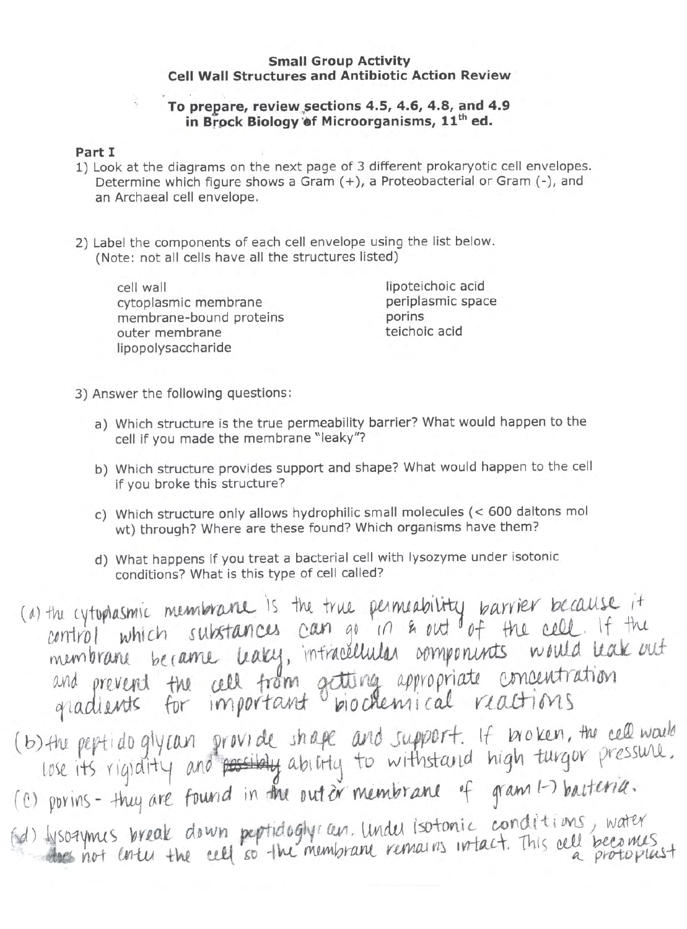#### **Small Group Activity Cell Wall Structures and Antibiotic Action Review**

## To prepare, review sections 4.5, 4.6, 4.8, and 4.9 in Brock Biology of Microorganisms, 11<sup>th</sup> ed.

### Part I

- 1) Look at the diagrams on the next page of 3 different prokaryotic cell envelopes. Determine which figure shows a Gram (+), a Proteobacterial or Gram (-), and an Archaeal cell envelope.
- 2) Label the components of each cell envelope using the list below. (Note: not all cells have all the structures listed)

cell wall cytoplasmic membrane membrane-bound proteins outer membrane lipopolysaccharide

lipoteichoic acid periplasmic space porins teichoic acid

- 3) Answer the following questions:
	- a) Which structure is the true permeability barrier? What would happen to the cell if you made the membrane "leaky"?
	- b) Which structure provides support and shape? What would happen to the cell if you broke this structure?
	- c) Which structure only allows hydrophilic small molecules (< 600 daltons mol wt) through? Where are these found? Which organisms have them?
	- d) What happens if you treat a bacterial cell with lysozyme under isotonic conditions? What is this type of cell called?

(a) the cytophasmic membranic is the true permeability barrier because it<br>control which substances can go in & out of the cell. If the<br>membrane became leaky, intracellular components would leak out and prevent the call from getting appropriate concentration (b) the peptido glycan provide shape and support. It broken, the cell would<br>lose its rigidity and possibly ability to withstand high turgor pressure.<br>(c) porins - they are found in the outor membrane of gram 1-7 bacteria. Hisosymes break down peptidoglycan. Under isotonic conditions, water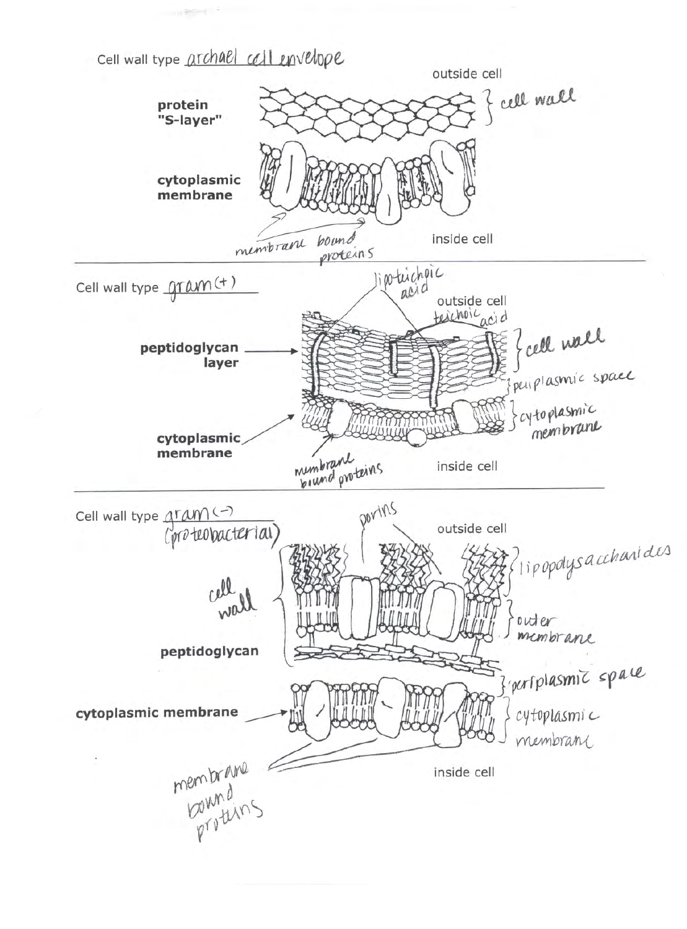Cell wall type archael cell envelope

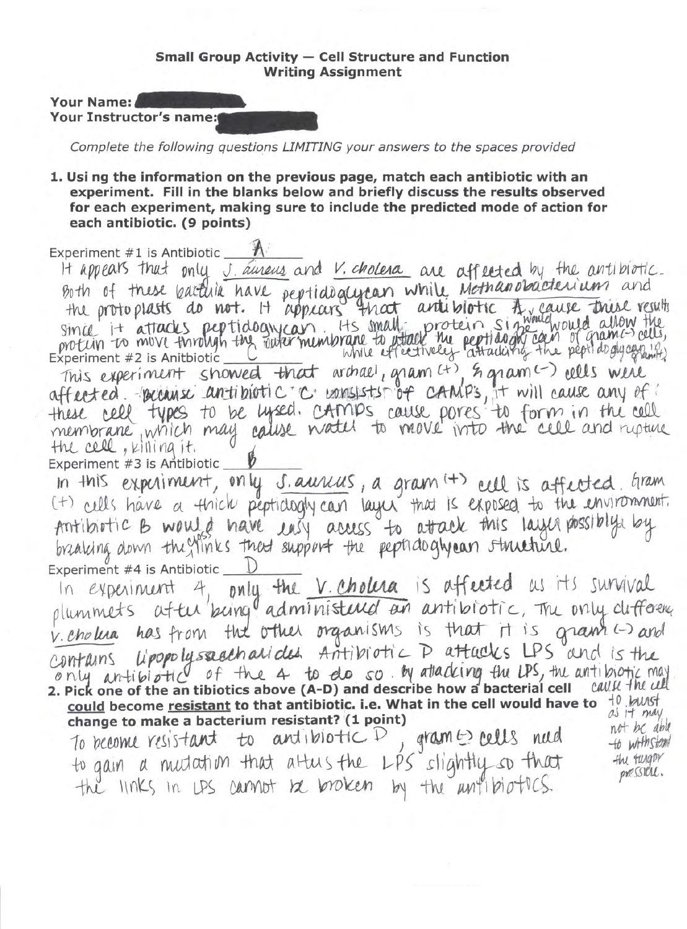#### **Small Group Activity - Cell Structure and Function Writing Assignment**

Your Name: Your Instructor's name:

Complete the following questions LIMITING your answers to the spaces provided

1. Usi ng the information on the previous page, match each antibiotic with an experiment. Fill in the blanks below and briefly discuss the results observed for each experiment, making sure to include the predicted mode of action for each antibiotic. (9 points)

Experiment #1 is Antibiotic

It appears that only J. aureus and V. cholera are affected by the antibiotic. Both of these bactline have peptide gerean while Mothanobacterium and<br>the protoplasts do not. It appears that article tic A gause this results<br>simil it attacks peptide gyron. Its small protein single would allow the<br>protun This experiment showed that archael, gram (+), & gram (-) cells were affected. Because antibiotic c consists of camps, it will cause any of these cell types to be uysed. CAMPS cause pores to form in the cell the cell, killing it. Experiment #3 is Antibiotic

In this experiment, only saurius, a gram (+) cell is affected. Gram<br>(+) cells have a thick peptidogly can layer that is exposed to the environment.<br>Antibiotic B would have easy access to attack this layer possibly by Experiment #4 is Antibiotic \_

only the V. Cholera is affected us its survival In experiment 4. plummets after being administered an antibiotic, The only deflorence v. cholua has from the other organisms is that it is gram (-) and only antibiotic of the 4 to do so. By attacking the LPS, the antibiotic may 2. Pick one of the an tibiotics above (A-D) and describe how a bacterial cell call k the cult could become resistant to that antibiotic. i.e. What in the cell would have to  $+0$  bush as it may change to make a bacterium resistant? (1 point)

To become resistant to antibiotic D gram bells nud to gain a mutation that altus the LPS slightly so that<br>the links in LPS cannot be broken by the antibiotics

not be able to wrinstam the tungor pression.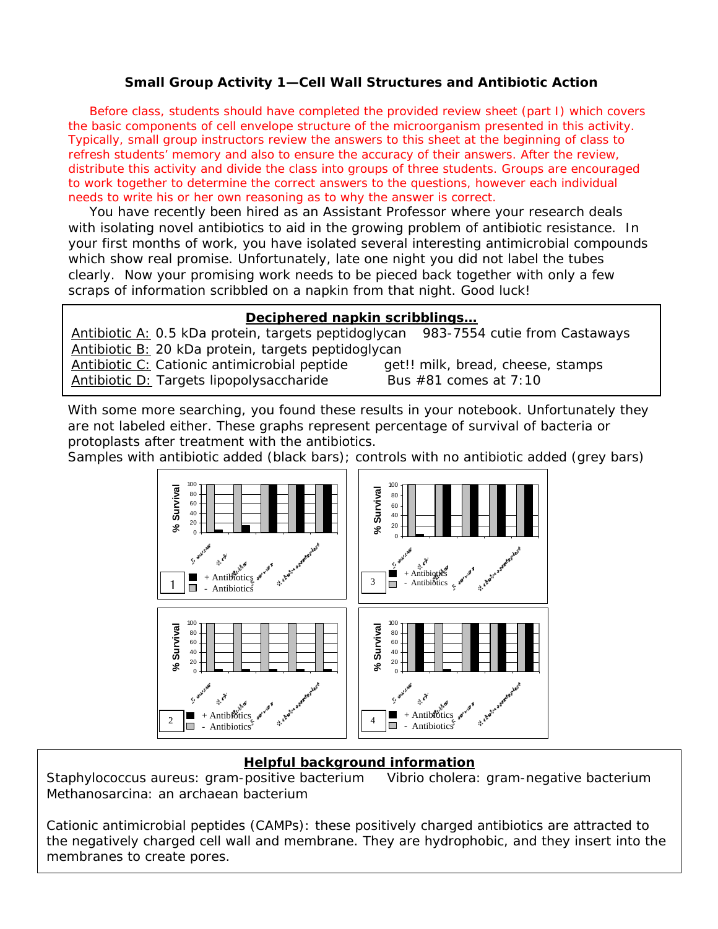### **Small Group Activity 1—Cell Wall Structures and Antibiotic Action**

Before class, students should have completed the provided review sheet (part I) which covers the basic components of cell envelope structure of the microorganism presented in this activity. Typically, small group instructors review the answers to this sheet at the beginning of class to refresh students' memory and also to ensure the accuracy of their answers. After the review, distribute this activity and divide the class into groups of three students. Groups are encouraged to work together to determine the correct answers to the questions, however each individual needs to write his or her own reasoning as to why the answer is correct.

You have recently been hired as an Assistant Professor where your research deals with isolating novel antibiotics to aid in the growing problem of antibiotic resistance. In your first months of work, you have isolated several interesting antimicrobial compounds which show real promise. Unfortunately, late one night you did not label the tubes clearly. Now your promising work needs to be pieced back together with only a few scraps of information scribbled on a napkin from that night. Good luck!

#### **Deciphered napkin scribblings…**

Antibiotic A: 0.5 kDa protein, targets peptidoglycan *983-7554 cutie from Castaways* Antibiotic B: 20 kDa protein, targets peptidoglycan Antibiotic C: Cationic antimicrobial peptide *get!! milk, bread, cheese, stamps* Antibiotic D: Targets lipopolysaccharide *Bus #81 comes at 7:10* 

With some more searching, you found these results in your notebook. Unfortunately they are not labeled either. These graphs represent percentage of survival of bacteria or protoplasts after treatment with the antibiotics.

Samples with antibiotic added (black bars); controls with no antibiotic added (grey bars)



#### **Helpful background information**

*Staphylococcus aureus*: gram-positive bacterium *Vibrio cholera*: gram-negative bacterium *Methanosarcina*: an archaean bacterium

Cationic antimicrobial peptides (CAMPs): these positively charged antibiotics are attracted to the negatively charged cell wall and membrane. They are hydrophobic, and they insert into the membranes to create pores.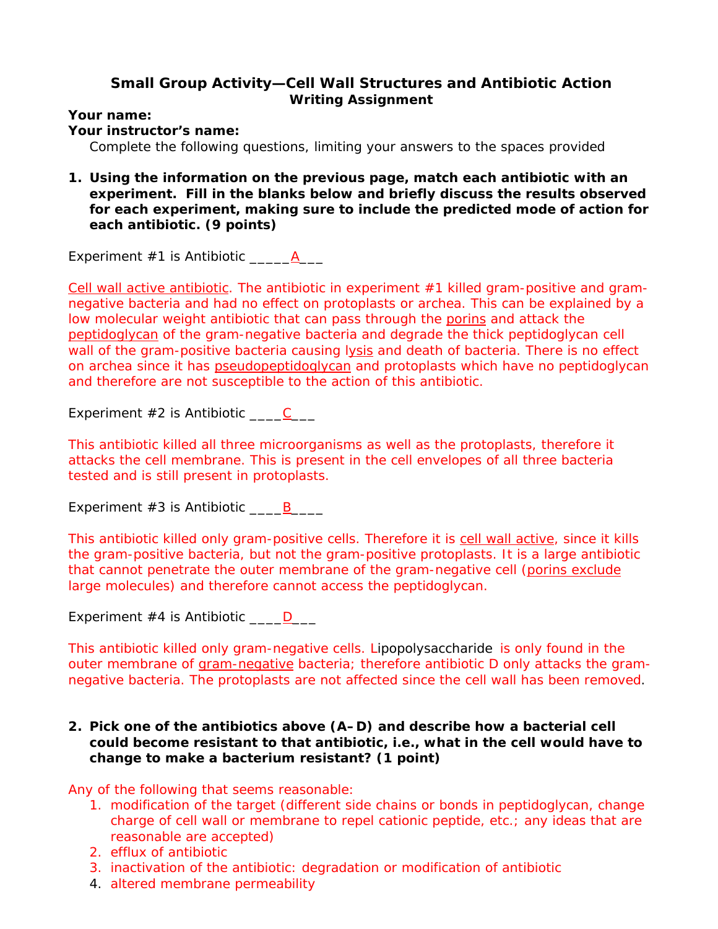## **Small Group Activity—Cell Wall Structures and Antibiotic Action Writing Assignment**

**Your name:** 

**Your instructor's name:** 

*Complete the following questions, limiting your answers to the spaces provided* 

**1. Using the information on the previous page, match each antibiotic with an experiment. Fill in the blanks below and briefly discuss the results observed for each experiment, making sure to include the predicted mode of action for each antibiotic. (9 points)** 

Experiment #1 is Antibiotic \_\_\_\_\_A\_\_\_

Cell wall active antibiotic. The antibiotic in experiment  $#1$  killed gram-positive and gramnegative bacteria and had no effect on protoplasts or archea. This can be explained by a low molecular weight antibiotic that can pass through the porins and attack the peptidoglycan of the gram-negative bacteria and degrade the thick peptidoglycan cell wall of the gram-positive bacteria causing lysis and death of bacteria. There is no effect on archea since it has pseudopeptidoglycan and protoplasts which have no peptidoglycan and therefore are not susceptible to the action of this antibiotic.

Experiment  $#2$  is Antibiotic  $\qquad \qquad C \qquad \qquad$ 

This antibiotic killed all three microorganisms as well as the protoplasts, therefore it attacks the cell membrane. This is present in the cell envelopes of all three bacteria tested and is still present in protoplasts.

Experiment  $#3$  is Antibiotic  $\underline{\hspace{1cm}}$  B

This antibiotic killed only gram-positive cells. Therefore it is cell wall active, since it kills the gram-positive bacteria, but not the gram-positive protoplasts. It is a large antibiotic that cannot penetrate the outer membrane of the gram-negative cell (porins exclude large molecules) and therefore cannot access the peptidoglycan.

Experiment  $#4$  is Antibiotic  $\underline{\hspace{1cm}}\underline{\hspace{1cm}}$ 

This antibiotic killed only gram-negative cells. Lipopolysaccharide is only found in the outer membrane of gram-negative bacteria; therefore antibiotic D only attacks the gramnegative bacteria. The protoplasts are not affected since the cell wall has been removed.

## **2. Pick one of the antibiotics above (A–D) and describe how a bacterial cell could become resistant to that antibiotic, i.e., what in the cell would have to change to make a bacterium resistant? (1 point)**

Any of the following that seems reasonable:

- 1. modification of the target (different side chains or bonds in peptidoglycan, change charge of cell wall or membrane to repel cationic peptide, etc.; any ideas that are reasonable are accepted)
- 2. efflux of antibiotic
- 3. inactivation of the antibiotic: degradation or modification of antibiotic
- 4. altered membrane permeability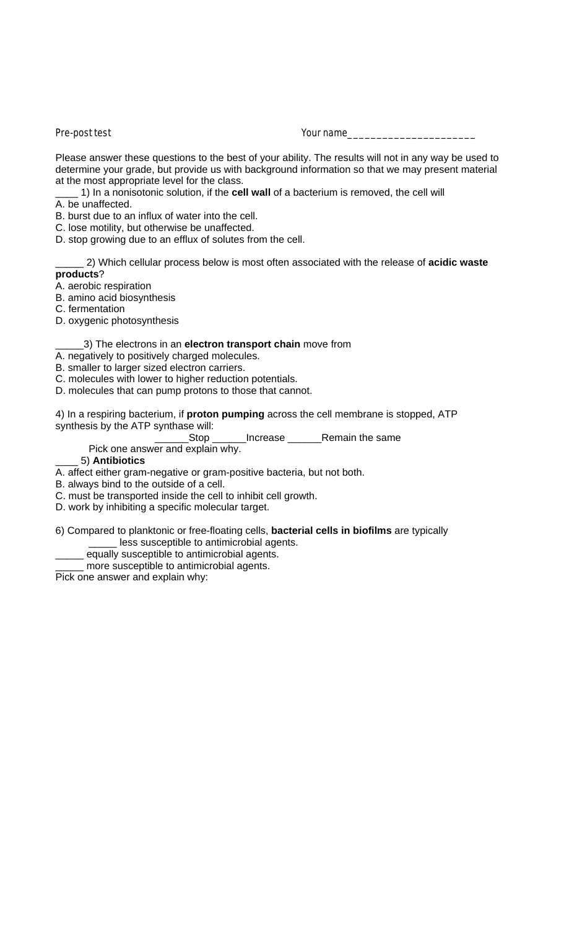#### Pre-post test Your name

Please answer these questions to the best of your ability. The results will not in any way be used to determine your grade, but provide us with background information so that we may present material at the most appropriate level for the class.

\_\_\_\_ 1) In a nonisotonic solution, if the **cell wall** of a bacterium is removed, the cell will

A. be unaffected.

B. burst due to an influx of water into the cell.

C. lose motility, but otherwise be unaffected.

D. stop growing due to an efflux of solutes from the cell.

\_\_\_\_\_ 2) Which cellular process below is most often associated with the release of **acidic waste products**?

A. aerobic respiration

B. amino acid biosynthesis

C. fermentation

D. oxygenic photosynthesis

## \_\_\_\_\_3) The electrons in an **electron transport chain** move from

A. negatively to positively charged molecules.

B. smaller to larger sized electron carriers.

C. molecules with lower to higher reduction potentials.

D. molecules that can pump protons to those that cannot.

4) In a respiring bacterium, if **proton pumping** across the cell membrane is stopped, ATP synthesis by the ATP synthase will:

Stop \_\_\_\_\_\_Increase \_\_\_\_\_\_Remain the same

Pick one answer and explain why.

## \_\_\_\_ 5) **Antibiotics**

A. affect either gram-negative or gram-positive bacteria, but not both.

B. always bind to the outside of a cell.

C. must be transported inside the cell to inhibit cell growth.

D. work by inhibiting a specific molecular target.

6) Compared to planktonic or free-floating cells, **bacterial cells in biofilms** are typically less susceptible to antimicrobial agents.

equally susceptible to antimicrobial agents.

\_\_\_\_\_ more susceptible to antimicrobial agents.

Pick one answer and explain why: